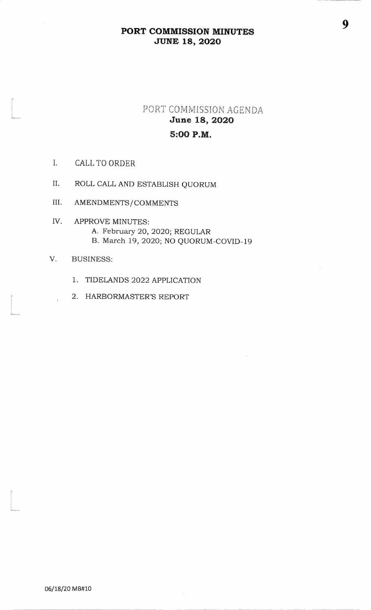# PORT COMMISSION AGENDA **June 18, 2020** 5:00 P.M.

- $\mathbf{I}$ . **CALL TO ORDER**
- $II.$ ROLL CALL AND ESTABLISH QUORUM
- III. AMENDMENTS/COMMENTS
- IV. APPROVE MINUTES: A. February 20, 2020; REGULAR B. March 19, 2020; NO QUORUM-COVID-19

#### V. **BUSINESS:**

- 1. TIDELANDS 2022 APPLICATION
- 2. HARBORMASTER'S REPORT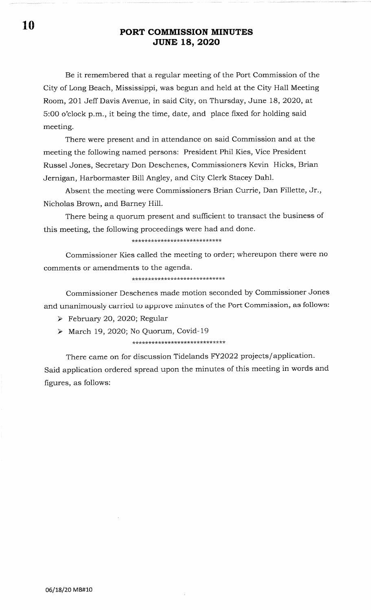Be it remembered that a regular meeting of the Port Commission of the City of Long Beach, Mississippi, was begun and held at the City Hall Meeting Room, 2OI Jeff Davis Avenue, in said City, on Thursday, June 18, 2O2O, at 5:O0 o'clock p.m., it being the time, date, and place fixed for holding said meeting.

There were present and in attendance on said Commission and at the meeting the following named persons: President Phil Kies, Vice President Russel Jones, Secretary Don Deschenes, Commissioners Kevin Hicks, Brian Jernigan, Harbormaster Bill Angley, and City Clerk Stacey Dahl.

Absent the meeting were Commissioners Brian Currie, Dan Fillette, Jr., Nicholas Brown, and Barney Hill.

There being a quorum present and sufficient to transact the business of this meeting, the following proceedings were had and done.

\*\*\*\*\*\*\*\*\*\*\*\*\*\*\*\*\*\*\*\*\*\*\*\*\*\*\*\*

Commissioner Kies called the meeting to order; whereupon there were no comments or amendments to the agenda.

\*\*\*\*\*\*\*\*\*\*\*\*\*\*\*\*\*\*\*\*\*\*\*\*\*\*\*\*\*

Commissioner Deschenes made motion seconded by Commissioner Jones and unanimously carried to approve minutes of the Port Commission, as follows:

> February 20, 2020; Regular

 $\triangleright$  March 19, 2020; No Quorum, Covid-19

\* \* \* \* \* \* \* \* \*\* \* r( Js \* \* \* \*itrk \* \* \* \* \* \* \*\* \* \*

There came on for discussion Tidelands FY2O22 projects/application. Said application ordered spread upon the minutes of this meeting in words and figures, as follows: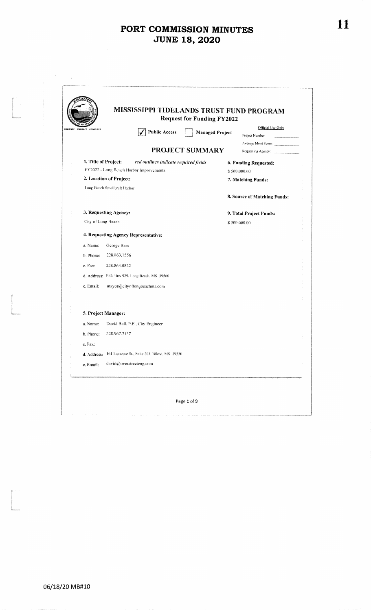|                          | MISSISSIPPI TIDELANDS TRUST FUND PROGRAM       | <b>Request for Funding FY2022</b> |                                             |
|--------------------------|------------------------------------------------|-----------------------------------|---------------------------------------------|
| ENNANCE WHOTECT CONSESSE | <b>Public Access</b>                           | <b>Managed Project</b>            | <b>Official Use Only</b><br>Project Number: |
|                          |                                                |                                   | Average Merit Score:                        |
|                          |                                                | <b>PROJECT SUMMARY</b>            | Requesting Agency:                          |
| 1. Title of Project:     | red outlines indicate required fields          |                                   | 6. Funding Requested:                       |
|                          | FY2022 - Long Beach Harbor Improvements        |                                   | \$500,000.00                                |
|                          | 2. Location of Project:                        |                                   | 7. Matching Funds:                          |
|                          | Long Beach Smalleraft Harbor                   |                                   | 8. Source of Matching Funds:                |
|                          | 3. Requesting Agency:                          |                                   | 9. Total Project Funds:                     |
| City of Long Beach       |                                                |                                   | \$500,000,00                                |
|                          | 4. Requesting Agency Representative:           |                                   |                                             |
| a. Name:                 | George Bass                                    |                                   |                                             |
| b. Phone:                | 228.863.1556                                   |                                   |                                             |
| c. Fax:                  | 228.865.0822                                   |                                   |                                             |
|                          | d. Address: P.O. Box 929, Long Beach, MS 39560 |                                   |                                             |
| e. Email:                | mayor@cityoflongbeachms.com                    |                                   |                                             |
|                          | 5. Project Manager:                            |                                   |                                             |
| a. Name:                 | David Ball, P.E., City Engineer                |                                   |                                             |
| b. Phone:                | 228.967.7137                                   |                                   |                                             |
|                          |                                                |                                   |                                             |
| c. Fax:                  |                                                |                                   |                                             |
| d. Address:              | 1611 ameuse St., Suite 203, Biloxi, MS 39530   |                                   |                                             |
| e. Email:                | david@overstreeteng.com                        |                                   |                                             |

 $\label{eq:2.1}$   $\label{2.1}$  <br> We also assume that  $\label{2.1} \begin{array}{ll} \mathbb{E}[\mathcal{H}^{(1)}(x)] = \mathbb{E}[\mathcal{H}^{(1)}(x)] = \mathbb{E}[\mathcal{H}^{(1)}(x)] = \mathbb{E}[\mathcal{H}^{(1)}(x)] = \mathbb{E}[\mathcal{H}^{(1)}(x)] = \mathbb{E}[\mathcal{H}^{(1)}(x)] = \mathbb{E}[\mathcal{H}^{(1)}(x)] = \mathbb{E}[\mathcal{H}^{(1)}(x)] = \math$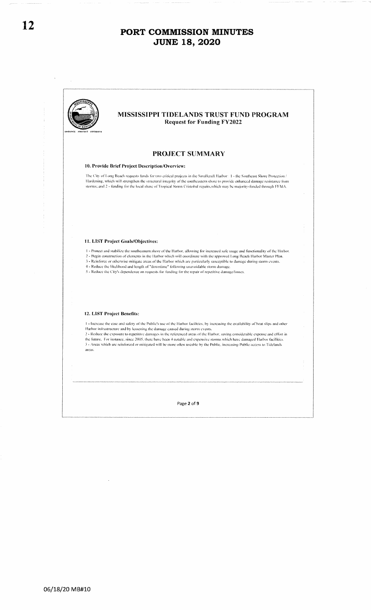

#### MISSISSIPPI TIDELANDS TRUST FUND PROGRAM **Request for Funding FY2022**

#### PROJECT SUMMARY

#### 10. Provide Brief Project Description/Overview:

The City of Long Beach requests funds for two critical projects in the Smallcraft Harbor: 1 - the Southeast Shore Protection / Hardening, which will strengthen the structural integrity of the southeastern shore to provide enhanced damage resistance from storms; and 2 - funding for the local share of Tropical Storm Cvistobal repairs, which may be majority-funded through FEMA.

#### 11. LIST Project Goals/Objectives:

1 - Protect and stabilize the southeastern shore of the Harbor, allowing for increased safe usage and functionality of the Harbor. 2 - Begin construction of elements in the Harbor which will coordinate with the approved Long Beach Harbor Master Plan.

- 3 Reinforce or otherwise mitigate areas of the Harbor which are particularly susceptible to damage during storm events.<br>3 Reinforce or otherwise mitigate areas of the Harbor which are particularly susceptible to damage
- 
- 5 Reduce the City's dependence on requests for funding for the repair of repetitive damage/losses

#### 12. LIST Project Benefits:

1 - Increase the case and safety of the Public's use of the Harbor facilities, by increasing the availability of boat slips and other Harbor infrastructure and by lessening the damage caused during storm events. 2 - Reduce the exposure to repetitive damages in the referenced areas of the Harbor, saving considerable expense and effort in the future. For instance, since 2005, there have been 4 notable and expensive storms which have damaged Harbor facilities 3 - Areas which are reinforced or mitigated will be more often useable by the Public, increasing Public access to Tidelands areas.

Page 2 of 9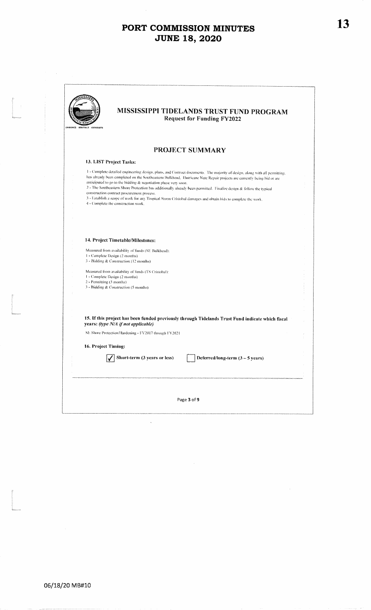| ENHANCE FROTECT CONSERVE | MISSISSIPPI TIDELANDS TRUST FUND PROGRAM<br><b>Request for Funding FY2022</b>                                                                                                                                                                                                                                                                                                                                                                                                                                                                                                                                                                        |
|--------------------------|------------------------------------------------------------------------------------------------------------------------------------------------------------------------------------------------------------------------------------------------------------------------------------------------------------------------------------------------------------------------------------------------------------------------------------------------------------------------------------------------------------------------------------------------------------------------------------------------------------------------------------------------------|
|                          | <b>PROJECT SUMMARY</b>                                                                                                                                                                                                                                                                                                                                                                                                                                                                                                                                                                                                                               |
|                          | 13. LIST Project Tasks:                                                                                                                                                                                                                                                                                                                                                                                                                                                                                                                                                                                                                              |
|                          | 1 - Complete detailed engineering design, plans, and Contract documents. The majority of design, along with all permitting.<br>has already been completed on the Southeastern Bulkhead. Hurricane Nate Repair projects are currently being bid or are<br>anticipated to go to the bidding & negotiation phase very soon.<br>2 - The Southeastern Shore Protection has additionally already been permitted. Finalize design & follow the typical<br>construction contract procurement process.<br>3 - Establish a scope of work for any Tropical Storm Cristobal damages and obtain bids to complete the work.<br>4 - Complete the construction work. |
|                          | 14. Project Timetable/Milestones:<br>Measured from availability of funds (SE Bulkhead):                                                                                                                                                                                                                                                                                                                                                                                                                                                                                                                                                              |
|                          | 1 - Complete Design (2 months)<br>3 - Bidding & Construction (12 months)                                                                                                                                                                                                                                                                                                                                                                                                                                                                                                                                                                             |
|                          | Measured from availability of funds (TS Cristobal):<br>1 - Complete Design (2 months)<br>2 - Permitting (3 months)<br>3 - Bidding & Construction (5 months)                                                                                                                                                                                                                                                                                                                                                                                                                                                                                          |
|                          | 15. If this project has been funded previously through Tidelands Trust Fund indicate which fiscal<br>years: (type N/A if not applicable)                                                                                                                                                                                                                                                                                                                                                                                                                                                                                                             |
|                          | SE Shore Protection/Hardening - FY2017 (hrough FY2021                                                                                                                                                                                                                                                                                                                                                                                                                                                                                                                                                                                                |
| 16. Project Timing:      |                                                                                                                                                                                                                                                                                                                                                                                                                                                                                                                                                                                                                                                      |
|                          | Short-term (3 years or less)<br>Deferred/long-term $(3 - 5$ years)                                                                                                                                                                                                                                                                                                                                                                                                                                                                                                                                                                                   |
|                          |                                                                                                                                                                                                                                                                                                                                                                                                                                                                                                                                                                                                                                                      |

 $\hat{\boldsymbol{\beta}}$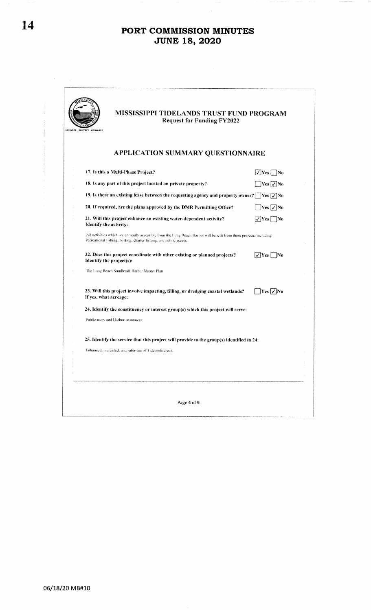| <b>Request for Funding FY2022</b><br>ENHANCE PROTECT CONSENVE                                                                                                                              | <b>MISSISSIPPI TIDELANDS TRUST FUND PROGRAM</b> |
|--------------------------------------------------------------------------------------------------------------------------------------------------------------------------------------------|-------------------------------------------------|
| <b>APPLICATION SUMMARY QUESTIONNAIRE</b>                                                                                                                                                   |                                                 |
| 17. Is this a Multi-Phase Project?                                                                                                                                                         | $\sqrt{V}$ Yes $\Box$ No                        |
| 18. Is any part of this project located on private property?                                                                                                                               | $\Box$ Yes $\Box$ No                            |
| 19. Is there an existing lease between the requesting agency and property owner? $\Box$ Yes $\Box$ No                                                                                      |                                                 |
| 20. If required, are the plans approved by the DMR Permitting Office?                                                                                                                      | $\Box$ Yes $\Box$ No                            |
| 21. Will this project enhance an existing water-dependent activity?<br>Identify the activity:                                                                                              | $\sqrt{\text{Yes}}$ No                          |
| All activities which are currently accessible from the Long Beach Harbor will benefit from these projects, including<br>recreational fishing, boating, charter fishing, and public access. |                                                 |
| 22. Does this project coordinate with other existing or planned projects?<br>Identify the project(s):                                                                                      | $\sqrt{\text{Yes}}$ No                          |
| The Long Beach Smalleraft Harbor Master Plan                                                                                                                                               |                                                 |
| 23. Will this project involve impacting, filling, or dredging coastal wetlands?<br>If yes, what acreage:                                                                                   | $\bigcap$ Yes $\bigtriangledown$ No             |
| 24. Identify the constituency or interest group(s) which this project will serve:                                                                                                          |                                                 |
| Public users and Harbor customers.                                                                                                                                                         |                                                 |
| 25. Identify the service that this project will provide to the group(s) identified in 24:                                                                                                  |                                                 |
| Enhanced, increased, and safer use of Tidelands areas.                                                                                                                                     |                                                 |
|                                                                                                                                                                                            |                                                 |
|                                                                                                                                                                                            |                                                 |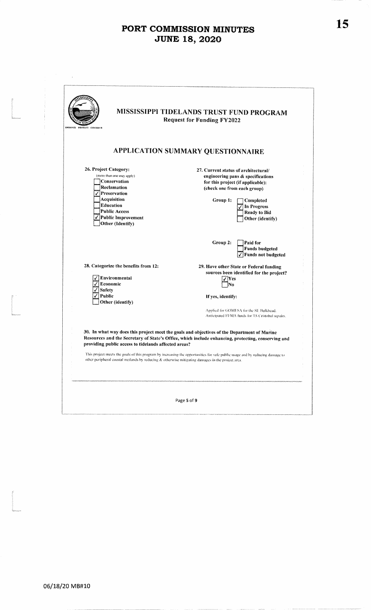| ENBANCE PROVICT CONSERVE                                                                          | MISSISSIPPI TIDELANDS TRUST FUND PROGRAM<br><b>Request for Funding FY2022</b>                                                                                                                                                                                                                                                     |
|---------------------------------------------------------------------------------------------------|-----------------------------------------------------------------------------------------------------------------------------------------------------------------------------------------------------------------------------------------------------------------------------------------------------------------------------------|
|                                                                                                   | APPLICATION SUMMARY QUESTIONNAIRE                                                                                                                                                                                                                                                                                                 |
| 26. Project Category:                                                                             | 27. Current status of architectural/                                                                                                                                                                                                                                                                                              |
| (more than one may apply)                                                                         | engineering pans & specifications                                                                                                                                                                                                                                                                                                 |
| Conservation                                                                                      | for this project (if applicable):                                                                                                                                                                                                                                                                                                 |
| Reclamation                                                                                       | (check one from each group)                                                                                                                                                                                                                                                                                                       |
| √Preservation<br>Acquisition<br><b>Education</b>                                                  | Group 1:<br>Completed<br>In Progress                                                                                                                                                                                                                                                                                              |
| <b>Public Access</b>                                                                              | Ready to Bid                                                                                                                                                                                                                                                                                                                      |
| $\sqrt{}$ Public Improvement<br>Other (Identify)                                                  | Other (identify)                                                                                                                                                                                                                                                                                                                  |
|                                                                                                   | Group 2:<br>Paid for<br><b>Funds budgeted</b><br>Funds not budgeted                                                                                                                                                                                                                                                               |
| 28. Categorize the benefits from 12:                                                              | 29. Have other State or Federal funding                                                                                                                                                                                                                                                                                           |
|                                                                                                   | sources been identified for the project?                                                                                                                                                                                                                                                                                          |
| <b>Environmental</b><br>Economic                                                                  | 7 Yes<br>No                                                                                                                                                                                                                                                                                                                       |
| <b>Safety</b>                                                                                     |                                                                                                                                                                                                                                                                                                                                   |
| Public<br>Other (identify)                                                                        | If yes, identify:                                                                                                                                                                                                                                                                                                                 |
|                                                                                                   | Applied for GOMESA for the SE Bulkhead.<br>Anticipated FEMA funds for TS Cristobal repairs.                                                                                                                                                                                                                                       |
| providing public access to tidelands affected areas?                                              | 30. In what way does this project meet the goals and objectives of the Department of Marine<br>Resources and the Secretary of State's Office, which include enhancing, protecting, conserving and<br>This project meets the goals of this program by increasing the opportunities for safe public usage and by reducing damage to |
| other peripheral coastal wetlands by reducing & otherwise mitigating damages in the project area. |                                                                                                                                                                                                                                                                                                                                   |

 $\label{eq:3.1} \frac{1}{\sum_{i=1}^n\sum_{j=1}^n\sum_{j=1}^n\sum_{j=1}^n\sum_{j=1}^n\sum_{j=1}^n\sum_{j=1}^n\sum_{j=1}^n\sum_{j=1}^n\sum_{j=1}^n\sum_{j=1}^n\sum_{j=1}^n\sum_{j=1}^n\sum_{j=1}^n\sum_{j=1}^n\sum_{j=1}^n\sum_{j=1}^n\sum_{j=1}^n\sum_{j=1}^n\sum_{j=1}^n\sum_{j=1}^n\sum_{j=1}^n\sum_{j=1}^$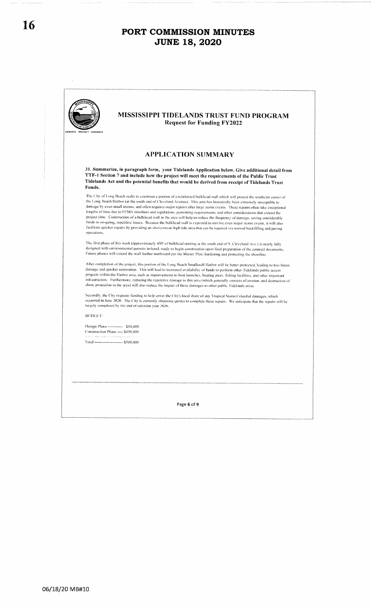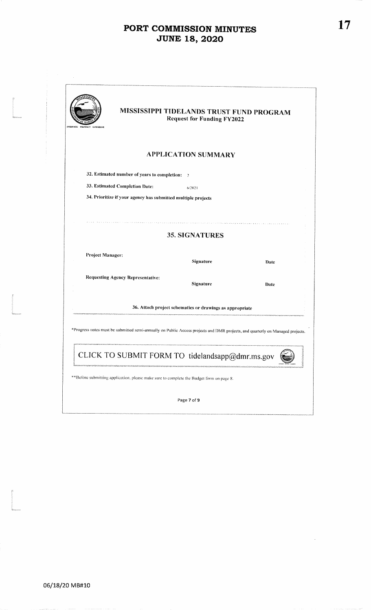| LUMANCE - FRATECY COMADAVE                                                                                                     | MISSISSIPPI TIDELANDS TRUST FUND PROGRAM<br><b>Request for Funding FY2022</b> |             |
|--------------------------------------------------------------------------------------------------------------------------------|-------------------------------------------------------------------------------|-------------|
|                                                                                                                                | <b>APPLICATION SUMMARY</b>                                                    |             |
| 32. Estimated number of years to completion: 2                                                                                 |                                                                               |             |
| 33. Estimated Completion Date:                                                                                                 | 6/2021                                                                        |             |
| 34. Prioritize if your agency has submitted multiple projects                                                                  |                                                                               |             |
|                                                                                                                                | <b>35. SIGNATURES</b>                                                         |             |
| Project Manager:                                                                                                               | <b>Signature</b>                                                              | Date        |
| <b>Requesting Agency Representative:</b>                                                                                       | <b>Signature</b>                                                              | <b>Date</b> |
|                                                                                                                                | 36. Attach project schematics or drawings as appropriate                      |             |
| *Progress notes must be submitted semi-annually on Public Access projects and DMR projects, and quarterly on Managed projects. |                                                                               |             |
| CLICK TO SUBMIT FORM TO tidelandsapp@dmr.ms.gov                                                                                |                                                                               |             |
|                                                                                                                                |                                                                               |             |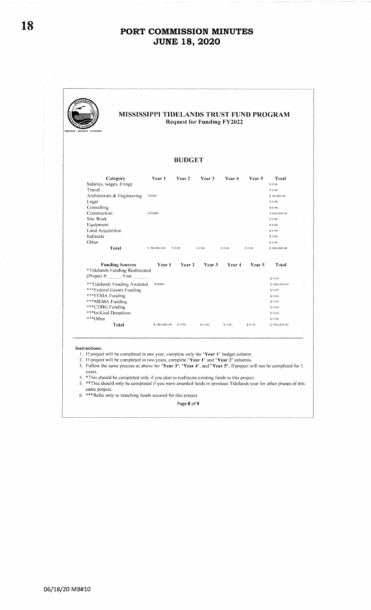MISSISSIPPI TIDELANDS TRUST FUND PROGRAM **Request for Funding FY2022 BUDGET** Category Year 1 Year 2 Year 3 Year 4 Year 5 Total Salaries, wages, Fringe  $$000$ Travel  $S(0.00)$ Architecture & Engineering  $$0000$ \$ 50,000.00 Legal  $\bar{\mathbf{S}}\,\bar{\mathbf{0}}\,\bar{\mathbf{0}}\bar{\mathbf{0}}$ Consulting  $$0.00$ Construction 450000 \$450,000.00 Site Work  $5.0 \text{ m}$ Equipment  $S \theta$   $\theta$ Land Acquisition  $5000$ Indirects  $\sqrt{3}$ 0.00 Other  $\bar{\text{S}}$ 0.00 Total  $\bar{\text{S}}$ 500,000 00  $^{\circ}$  $5000$  $\frac{1}{2}$  0.00  $\bar{\mathbf{S}}$  o ao  $\bar{S}$  0 00 \$ 500,000.00 Total **Funding Sources** Year 4 Year 5 Year 1 Year 2 Year 3 \*Tidelands Funding Reallocated (Project #:  $\rightarrow$  Year  $$000$ \*\*Tidelands Funding Awarded 500000 \$ 500,000 00 \*\*\*Federal Grants Funding \$0.00  $$00$ \*\*\*MEMA Funding  $\hat{\mathbf{s}}$ o oo \*\*\*CDBG Funding  $\sqrt{5}$ 0.00 \*\*\*In-Kind Donations  $\pm$  0.00 \*\*\*Other  $\pm$ o $\alpha$ Total \$500,000.00 \$0.00  $$000$  $$00$  $$00$  $\pm$  500,000 00 **Instructions:** 1. If project will be completed in one year, complete only the "Year 1" budget column. 2. If project will be completed in two years, complete "Year 1" and "Year 2" columns. 3. Follow the same process as above for "Year 3", "Year 4", and "Year 5", if project will not be completed for 5

- 
- Force the set of the completed only if you plan to reallocate existing funds to this project.<br>
\*This should be completed only if you plan to reallocate existing funds to this project.  $4<sup>1</sup>$ \*\*This should only be completed if you were awarded funds in previous Tidelands year for other phases of this  $5.$ same project.

\*\*\*Refer only to matching funds secured for this project. 6.

Page 8 of 9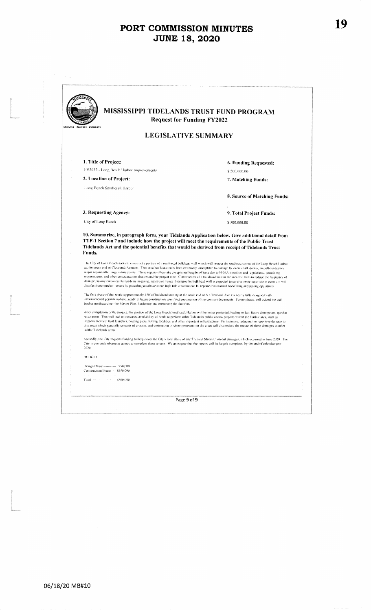| MISSISSIPPI TIDELANDS TRUST FUND PROGRAM<br><b>Request for Funding FY2022</b><br>ENHANCE PROTECT CONSERVE                                                                                                                                                                                                                                                                                                                                                                                                                                                                                                                                                                                                                              |                              |  |  |  |
|----------------------------------------------------------------------------------------------------------------------------------------------------------------------------------------------------------------------------------------------------------------------------------------------------------------------------------------------------------------------------------------------------------------------------------------------------------------------------------------------------------------------------------------------------------------------------------------------------------------------------------------------------------------------------------------------------------------------------------------|------------------------------|--|--|--|
|                                                                                                                                                                                                                                                                                                                                                                                                                                                                                                                                                                                                                                                                                                                                        | <b>LEGISLATIVE SUMMARY</b>   |  |  |  |
| 1. Title of Project:                                                                                                                                                                                                                                                                                                                                                                                                                                                                                                                                                                                                                                                                                                                   | 6. Funding Requested:        |  |  |  |
| FY2022 - Long Beach Harbor Improvements                                                                                                                                                                                                                                                                                                                                                                                                                                                                                                                                                                                                                                                                                                | \$500,000.00                 |  |  |  |
| 2. Location of Project:                                                                                                                                                                                                                                                                                                                                                                                                                                                                                                                                                                                                                                                                                                                | 7. Matching Funds:           |  |  |  |
| Long Beach Smalleraft Harbor                                                                                                                                                                                                                                                                                                                                                                                                                                                                                                                                                                                                                                                                                                           | 8. Source of Matching Funds: |  |  |  |
| 3. Requesting Agency:                                                                                                                                                                                                                                                                                                                                                                                                                                                                                                                                                                                                                                                                                                                  | 9. Total Project Funds:      |  |  |  |
| City of Long Beach                                                                                                                                                                                                                                                                                                                                                                                                                                                                                                                                                                                                                                                                                                                     | \$500,000.00                 |  |  |  |
| 10. Summarize, in paragraph form, your Tidelands Application below. Give additional detail from<br>TTF-1 Section 7 and include how the project will meet the requirements of the Public Trust<br>Tidelands Act and the potential benefits that would be derived from receipt of Tidelands Trust<br>Funds.<br>The City of Long Beach seeks to construct a portion of a reinforced bulkhead wall which will protect the southeast corner of the Long Beach Harbor                                                                                                                                                                                                                                                                        |                              |  |  |  |
| (at the south end of Cleveland Avenue). This area has historically been extremely susceptible to damage by even sinall storms, and often requires<br>major repairs after large storm events. These repairs often take exceptional lengths of time due to FEMA timelines and regulations, permitting<br>requirements, and other considerations that extend the project time. Construction of a bulkhead wall in the area will help to reduce the frequency of                                                                                                                                                                                                                                                                           |                              |  |  |  |
| damage, saving considerable funds in on-going, repetitive losses. Because the bulkhead wall is expected to survive even major storm events, it will<br>also facilitate quicker repairs by providing an above-mean high tide area that can be repaired via normal backfilling and paving operations<br>The first phase of this work (approximately 450' of bulkhead starting at the south end of S. Cleveland Ave.) is nearly fully designed with<br>environmental permits in-hand, ready to begin construction upon tinal preparation of the contract documents. Future phases will extend the wall                                                                                                                                    |                              |  |  |  |
| further northward per the Master Plan, hardening and protecting the shoreline<br>After completion of the project, this portion of the Long Beach Smallcraft Harbor will be better protected, leading to less future damage and quicker<br>restoration. This will lead to increased availability of funds to perform other Tidelands public access projects within the Harbor area, such as<br>improvements to boat launches, boating piers, fishing facilities, and other important infrastructure. Furthermore, reducing the repetitive damage to<br>this area (which generally consists of erosion, and destruction of shore protection in the area) will also reduce the impact of these damages to other<br>public Tidefands areas |                              |  |  |  |
| Secondly, the City requests funding to help cover the City's local share of any Tropical Storm Cristobal damages, which occurred in June 2020. The<br>City is currently obtaining quotes to complete these repairs. We anticipate that the repairs will be largely completed by the end of calendar year<br>2020                                                                                                                                                                                                                                                                                                                                                                                                                       |                              |  |  |  |
| BUDGET                                                                                                                                                                                                                                                                                                                                                                                                                                                                                                                                                                                                                                                                                                                                 |                              |  |  |  |
| Design Phase ---------- \$50,000<br>Construction Phase --- \$450,000                                                                                                                                                                                                                                                                                                                                                                                                                                                                                                                                                                                                                                                                   |                              |  |  |  |
| contract the construction of the contract<br>Total ---------------------- \$500,000                                                                                                                                                                                                                                                                                                                                                                                                                                                                                                                                                                                                                                                    |                              |  |  |  |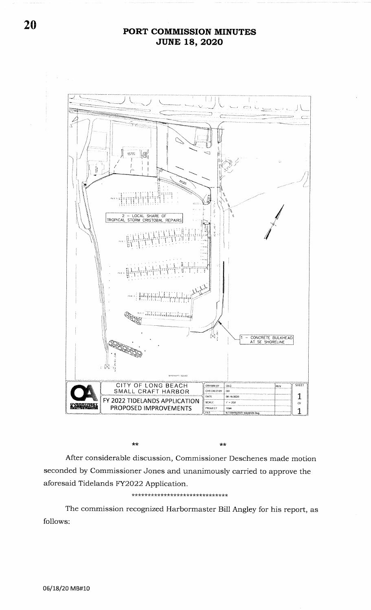

 $**$ 

 $+ +$ 

After considerable discussion, Commissioner Deschenes made motion seconded by Commissioner Jones and unanimously carried to approve the aforesaid Tidelands FY2022 Application.

\*\*\*\*\*\*\*\*\*\*\*\*\*\*\*\*\*\*\*\*\*\*\*\*\*\*\*\*\*\*

The commission recognized Harbormaster Bill Angley for his report, as follows: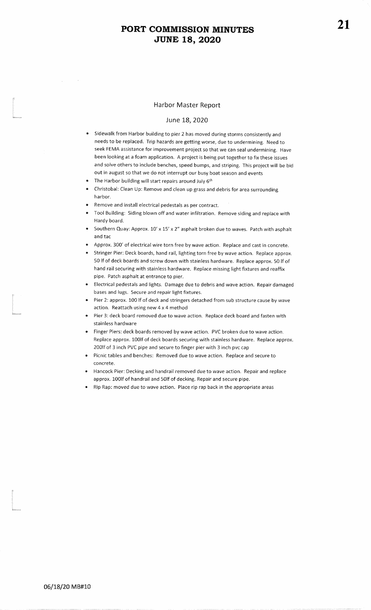#### Harbor Master Report

#### June 18, 2020

- **•** Sidewalk from Harbor building to pier 2 has moved during storms consistently and needs to be replaced. Trip hazards are getting worse, due to undermining. Need to seek FEMA assistance for improvement project so that we can seal undermining. Havebeen looking at a foam application. A project is being put together to fix these issues and solve others to include benches, speed bumps, and striping. This project will be bidout in august so that we do not interrupt our busy boat season and events
- **•** The Harbor building will start repairs around July 6<sup>th</sup>
- **•** Christobal: Clean Up: Remove and clean up grass and debris for area surrounding harbor.
- **•** Remove and install electrical pedestals as per contract.
- Tool Building: Siding blown off and water infiltration. Remove siding and replace with Hardy board.
- Southern Quay: Approx.  $10' \times 15' \times 2''$  asphalt broken due to waves. Patch with asphalt and tac
- $\bullet$  Approx. 300' of electrical wire torn free by wave action. Replace and cast in concrete.
- **.** Stringer Pier: Deck boards, hand rail, lighting torn free by wave action. Replace approx. <sup>50</sup>lf of deck boards and screw down with stainless hardware. Replace approx. 5O lf ofhand rail securing with stainless hardware. Replace missing light fixtures and reaffixpipe. Patch asphalt at entrance to pier.
- <sup>r</sup>Electrical pedestals and lights. Damage due to debris and wave action- Repair damagedbases and lugs. Secure and repair light fixtures,
- Pier 2: approx. 100 If of deck and stringers detached from sub structure cause by wave action. Reattach using new 4 x 4 method
- o Pier 3: deck board removed due to vvave action. Replace deck board and fasten withstainless hardware
- **Finger Piers: deck boards removed by wave action. PVC broken due to wave action** Replace approx. 1001f of deck boards securing with stainless hardware, Replace approx.2001f of 3 inch PVC pipe and secure to finger pier with 3 inch pvc cap
- Picnic tables and benches: Removed due to wave action. Replace and secure to concrete.
- . Hancock Pier: Decking and handrail removed due to wave action. Repair and replaceapprox. 1001f of handrail and 50lf of decking. Repair and secure pipe.
- Rip Rap: moved due to wave action. Place rip rap back in the appropriate areas

l<br>America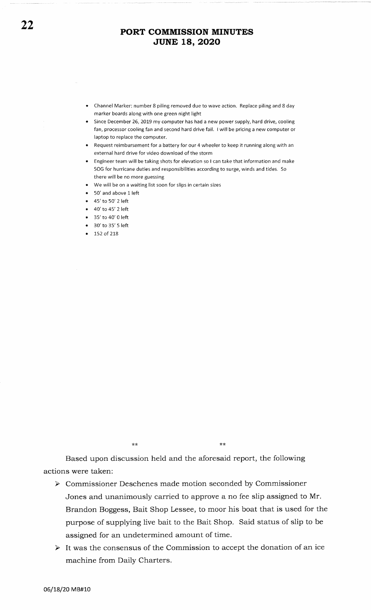- Channel Marker: number 8 piling removed due to wave action. Replace piling and 8 day marker boards along with one green night light
- Since December 26, 2019 my computer has had a new power supply, hard drive, cooling fan, processor cooling fan and second hard drive fail. I will be pricing a new computer or laptop to replace the computer.
- $\bullet$   $\;\;$  Request reimbursement for a battery for our 4 wheeler to keep it running along with an external hard drive for video download of the storm
- $\bullet$  Engineer team will be taking shots for elevation so I can take that information and make SOG for huricane duties and responsibilities according to surge, winds and tides. 5o there will be no more guessing
- $\bullet$   $\;\;$  We will be on a waiting list soon for slips in certain sizes
- 50'and above 1 left a
- 45'to 50' 2 left a
- 40'to 45' 2 left
- 35' to 40' 0 left
- 30'to 35'5 left
- $\bullet$  152 of 218

\*\*

\*\*

Based upon discussion held and the aforesaid report, the following actions were taken:

- > Commissioner Deschenes made motion seconded by Commissioner Jones and unanimously carried to approve a no fee slip assigned to Mr. Brandon Boggess, Bait Shop Lessee, to moor his boat that is used for the purpose of supplying live bait to the Bait Shop. Said status of slip to be assigned for an undetermined amount of time.
- $\triangleright$  It was the consensus of the Commission to accept the donation of an ice machine from Daily Charters.